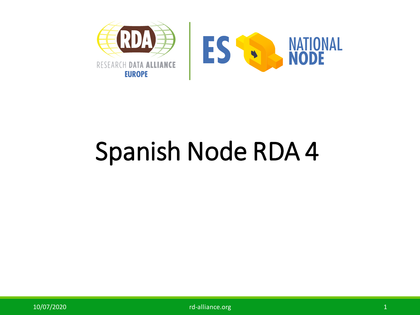

## Spanish Node RDA 4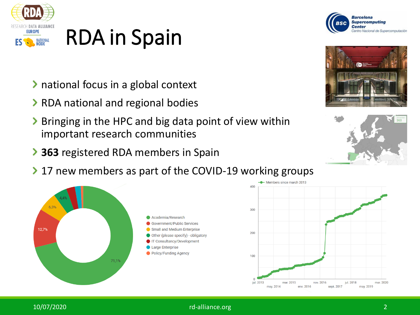

## RDA in Spain

- > national focus in a global context
- > RDA national and regional bodies
- > Bringing in the HPC and big data point of view within important research communities
- **363** registered RDA members in Spain
- ▶ 17 new members as part of the COVID-19 working groups











10/07/2020 rd-alliance.org 2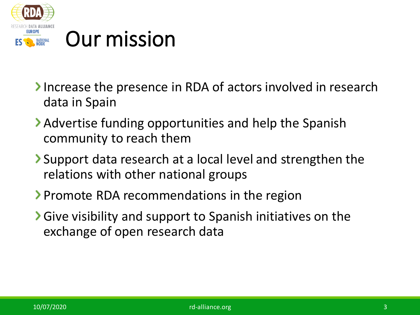

- Increase the presence in RDA of actors involved in research data in Spain
- Advertise funding opportunities and help the Spanish community to reach them
- Support data research at a local level and strengthen the relations with other national groups
- Promote RDA recommendations in the region
- Give visibility and support to Spanish initiatives on the exchange of open research data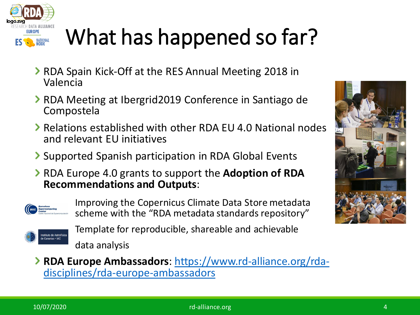

## What has happened so far?

- **>** RDA Spain Kick-Off at the RES Annual Meeting 2018 in Valencia
- ▶ RDA Meeting at Ibergrid2019 Conference in Santiago de Compostela
- Relations established with other RDA EU 4.0 National nodes and relevant EU initiatives
- **Supported Spanish participation in RDA Global Events**
- RDA Europe 4.0 grants to support the **Adoption of RDA Recommendations and Outputs**:



Improving the Copernicus Climate Data Store metadata scheme with the "RDA metadata standards repository"



Template for reproducible, shareable and achievable data analysis

**RDA Europe Ambassadors**: https://www.rd-alliance.org/rda[disciplines/rda-europe-ambassadors](https://www.rd-alliance.org/rda-disciplines/rda-europe-ambassadors)